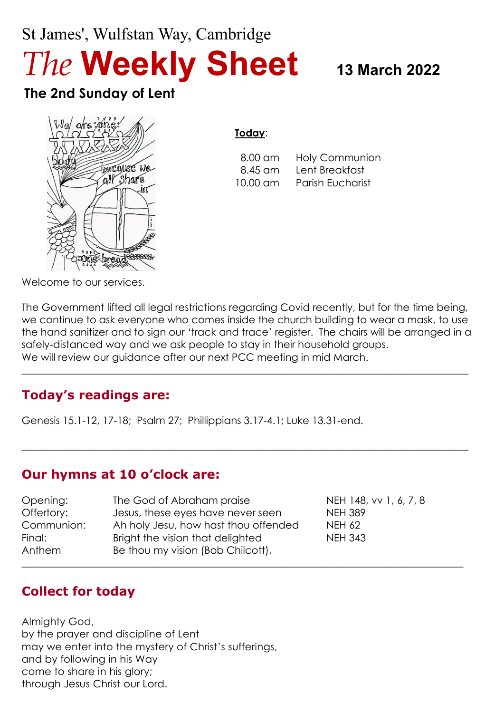# St James', Wulfstan Way, Cambridge *The* **Weekly Sheet <sup>13</sup> March <sup>2022</sup>**

## **The 2nd Sunday of Lent**



#### **Today**:

| 8.00 am    | <b>Holy Communion</b>   |
|------------|-------------------------|
| 8.45 am    | Lent Breakfast          |
| $10.00$ am | <b>Parish Eucharist</b> |

Welcome to our services.

The Government lifted all legal restrictions regarding Covid recently, but for the time being, we continue to ask everyone who comes inside the church building to wear a mask, to use the hand sanitizer and to sign our 'track and trace' register. The chairs will be arranged in a safely-distanced way and we ask people to stay in their household groups. We will review our guidance after our next PCC meeting in mid March.

 $\_$  , and the set of the set of the set of the set of the set of the set of the set of the set of the set of the set of the set of the set of the set of the set of the set of the set of the set of the set of the set of th

 $\_$  , and the set of the set of the set of the set of the set of the set of the set of the set of the set of the set of the set of the set of the set of the set of the set of the set of the set of the set of the set of th

 $\_$  , and the set of the set of the set of the set of the set of the set of the set of the set of the set of the set of the set of the set of the set of the set of the set of the set of the set of the set of the set of th

### **Today's readings are:**

Genesis 15.1-12, 17-18; Psalm 27; Phillippians 3.17-4.1; Luke 13.31-end.

### **Our hymns at 10 o'clock are:**

Opening: The God of Abraham praise NEH 148, vv 1, 6, 7, 8 Offertory: Jesus, these eyes have never seen NEH 389 Communion: Ah holy Jesu, how hast thou offended NEH 62 Final: Bright the vision that delighted NEH 343 Anthem Be thou my vision (Bob Chilcott),

### **Collect for today**

Almighty God, by the prayer and discipline of Lent may we enter into the mystery of Christ's sufferings, and by following in his Way come to share in his glory; through Jesus Christ our Lord.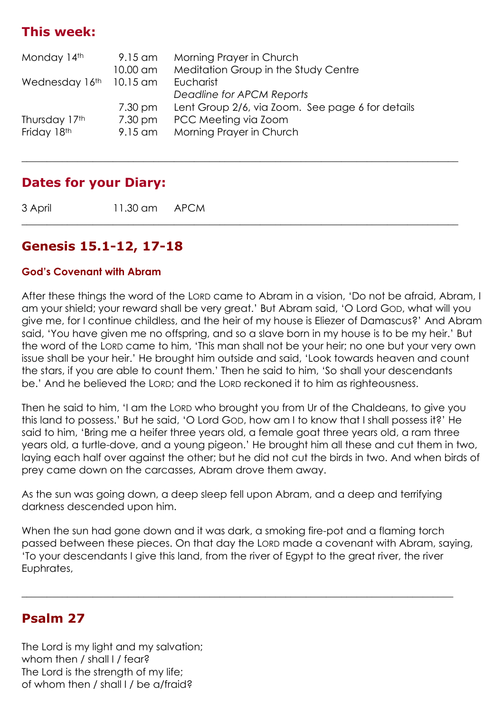### **This week:**

| $9.15$ am | Morning Prayer in Church                         |
|-----------|--------------------------------------------------|
| 10.00 am  | Meditation Group in the Study Centre             |
|           | Eucharist                                        |
|           | Deadline for APCM Reports                        |
| 7.30 pm   | Lent Group 2/6, via Zoom. See page 6 for details |
| 7.30 pm   | PCC Meeting via Zoom                             |
| 9.15 am   | Morning Prayer in Church                         |
|           | Wednesday $16th$ 10.15 am                        |

 $\_$  , and the set of the set of the set of the set of the set of the set of the set of the set of the set of the set of the set of the set of the set of the set of the set of the set of the set of the set of the set of th

 $\_$  , and the set of the set of the set of the set of the set of the set of the set of the set of the set of the set of the set of the set of the set of the set of the set of the set of the set of the set of the set of th

### **Dates for your Diary:**

3 April 11.30 am APCM

### **Genesis 15.1-12, 17-18**

#### **God's Covenant with Abram**

After these things the word of the LORD came to Abram in a vision, 'Do not be afraid, Abram, I am your shield; your reward shall be very great.' But Abram said, 'O Lord GOD, what will you give me, for I continue childless, and the heir of my house is Eliezer of Damascus?' And Abram said, 'You have given me no offspring, and so a slave born in my house is to be my heir.' But the word of the LORD came to him, 'This man shall not be your heir; no one but your very own issue shall be your heir.' He brought him outside and said, 'Look towards heaven and count the stars, if you are able to count them.' Then he said to him, 'So shall your descendants be.' And he believed the LORD; and the LORD reckoned it to him as righteousness.

Then he said to him, 'I am the LORD who brought you from Ur of the Chaldeans, to give you this land to possess.' But he said, 'O Lord GOD, how am I to know that I shall possess it?' He said to him, 'Bring me a heifer three years old, a female goat three years old, a ram three years old, a turtle-dove, and a young pigeon.' He brought him all these and cut them in two, laying each half over against the other; but he did not cut the birds in two. And when birds of prey came down on the carcasses, Abram drove them away.

As the sun was going down, a deep sleep fell upon Abram, and a deep and terrifying darkness descended upon him.

When the sun had gone down and it was dark, a smoking fire-pot and a flaming torch passed between these pieces. On that day the LORD made a covenant with Abram, saying, 'To your descendants I give this land, from the river of Egypt to the great river, the river Euphrates,

 $\_$  , and the set of the set of the set of the set of the set of the set of the set of the set of the set of the set of the set of the set of the set of the set of the set of the set of the set of the set of the set of th

### **Psalm 27**

The Lord is my light and my salvation; whom then / shall I / fear? The Lord is the strength of my life; of whom then / shall I / be a/fraid?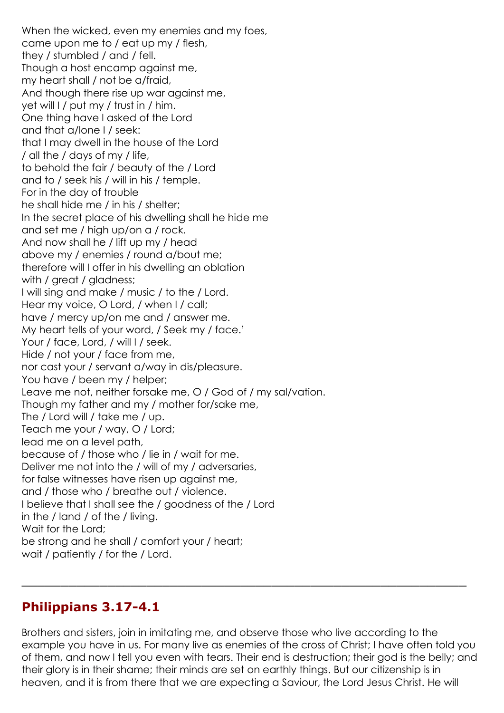When the wicked, even my enemies and my foes, came upon me to / eat up my / flesh, they / stumbled / and / fell. Though a host encamp against me, my heart shall / not be a/fraid, And though there rise up war against me, yet will I / put my / trust in / him. One thing have I asked of the Lord and that a/lone I / seek: that I may dwell in the house of the Lord / all the / days of my / life, to behold the fair / beauty of the / Lord and to / seek his / will in his / temple. For in the day of trouble he shall hide me / in his / shelter; In the secret place of his dwelling shall he hide me and set me / high up/on a / rock. And now shall he / lift up my / head above my / enemies / round a/bout me; therefore will I offer in his dwelling an oblation with / great / gladness; I will sing and make / music / to the / Lord. Hear my voice, O Lord, / when I / call; have / mercy up/on me and / answer me. My heart tells of your word, / Seek my / face.' Your / face, Lord, / will I / seek. Hide / not your / face from me, nor cast your / servant a/way in dis/pleasure. You have / been my / helper; Leave me not, neither forsake me, O / God of / my sal/vation. Though my father and my / mother for/sake me, The / Lord will / take me / up. Teach me your / way, O / Lord; lead me on a level path, because of / those who / lie in / wait for me. Deliver me not into the / will of my / adversaries, for false witnesses have risen up against me, and / those who / breathe out / violence. I believe that I shall see the / goodness of the / Lord in the / land / of the / living. Wait for the Lord; be strong and he shall / comfort your / heart; wait / patiently / for the / Lord.

#### **Philippians 3.17-4.1**

Brothers and sisters, join in imitating me, and observe those who live according to the example you have in us. For many live as enemies of the cross of Christ; I have often told you of them, and now I tell you even with tears. Their end is destruction; their god is the belly; and their glory is in their shame; their minds are set on earthly things. But our citizenship is in heaven, and it is from there that we are expecting a Saviour, the Lord Jesus Christ. He will

\_\_\_\_\_\_\_\_\_\_\_\_\_\_\_\_\_\_\_\_\_\_\_\_\_\_\_\_\_\_\_\_\_\_\_\_\_\_\_\_\_\_\_\_\_\_\_\_\_\_\_\_\_\_\_\_\_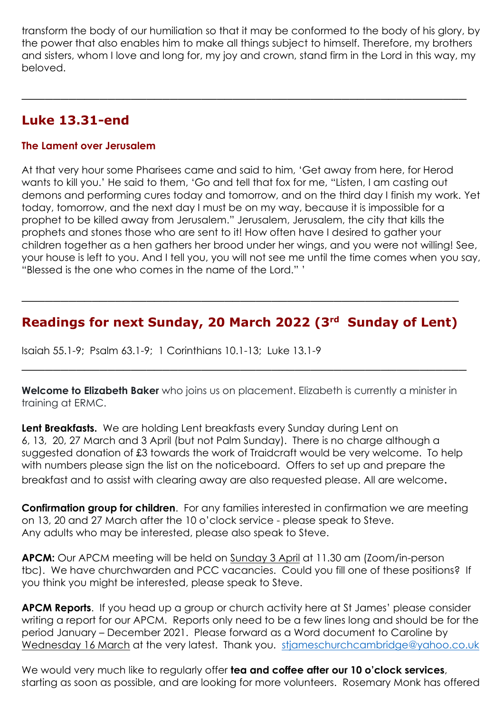transform the body of our humiliation so that it may be conformed to the body of his glory, by the power that also enables him to make all things subject to himself. Therefore, my brothers and sisters, whom I love and long for, my joy and crown, stand firm in the Lord in this way, my beloved.

\_\_\_\_\_\_\_\_\_\_\_\_\_\_\_\_\_\_\_\_\_\_\_\_\_\_\_\_\_\_\_\_\_\_\_\_\_\_\_\_\_\_\_\_\_\_\_\_\_\_\_\_\_\_\_\_\_

### **Luke 13.31-end**

#### **The Lament over Jerusalem**

At that very hour some Pharisees came and said to him, 'Get away from here, for Herod wants to kill you.' He said to them, 'Go and tell that fox for me, "Listen, I am casting out demons and performing cures today and tomorrow, and on the third day I finish my work. Yet today, tomorrow, and the next day I must be on my way, because it is impossible for a prophet to be killed away from Jerusalem." Jerusalem, Jerusalem, the city that kills the prophets and stones those who are sent to it! How often have I desired to gather your children together as a hen gathers her brood under her wings, and you were not willing! See, your house is left to you. And I tell you, you will not see me until the time comes when you say, "Blessed is the one who comes in the name of the Lord." '

### **Readings for next Sunday, 20 March 2022 (3rd Sunday of Lent)**

\_\_\_\_\_\_\_\_\_\_\_\_\_\_\_\_\_\_\_\_\_\_\_\_\_\_\_\_\_\_\_\_\_\_\_\_\_\_\_\_\_\_\_\_\_\_\_\_\_\_\_\_\_\_\_\_

Isaiah 55.1-9; Psalm 63.1-9; 1 Corinthians 10.1-13; Luke 13.1-9

**Welcome to Elizabeth Baker** who joins us on placement. Elizabeth is currently a minister in training at ERMC.

\_\_\_\_\_\_\_\_\_\_\_\_\_\_\_\_\_\_\_\_\_\_\_\_\_\_\_\_\_\_\_\_\_\_\_\_\_\_\_\_\_\_\_\_\_\_\_\_\_\_\_\_\_\_\_\_\_

**Lent Breakfasts.** We are holding Lent breakfasts every Sunday during Lent on 6, 13, 20, 27 March and 3 April (but not Palm Sunday). There is no charge although a suggested donation of £3 towards the work of Traidcraft would be very welcome. To help with numbers please sign the list on the noticeboard. Offers to set up and prepare the breakfast and to assist with clearing away are also requested please. All are welcome.

**Confirmation group for children**. For any families interested in confirmation we are meeting on 13, 20 and 27 March after the 10 o'clock service - please speak to Steve. Any adults who may be interested, please also speak to Steve.

**APCM:** Our APCM meeting will be held on Sunday 3 April at 11.30 am (Zoom/in-person tbc). We have churchwarden and PCC vacancies. Could you fill one of these positions? If you think you might be interested, please speak to Steve.

**APCM Reports**. If you head up a group or church activity here at St James' please consider writing a report for our APCM. Reports only need to be a few lines long and should be for the period January – December 2021. Please forward as a Word document to Caroline by Wednesday 16 March at the very latest. Thank you. [stjameschurchcambridge@yahoo.co.uk](mailto:stjameschurchcambridge@yahoo.co.uk)

We would very much like to regularly offer **tea and coffee after our 10 o'clock services**, starting as soon as possible, and are looking for more volunteers. Rosemary Monk has offered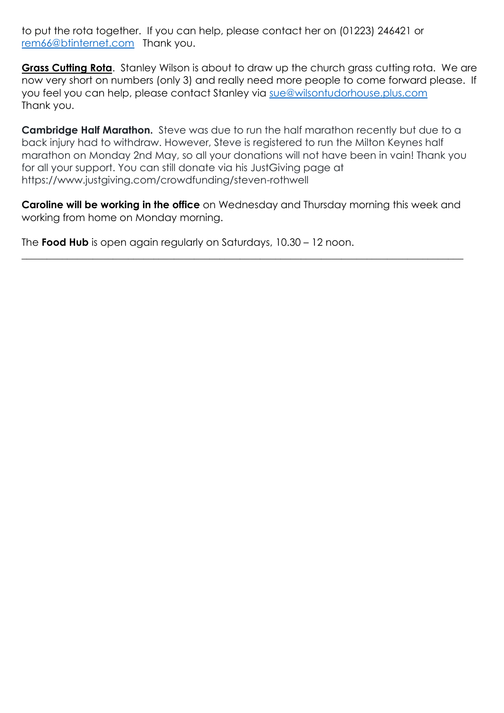to put the rota together. If you can help, please contact her on (01223) 246421 or [rem66@btinternet.com](mailto:rem66@btinternet.com) Thank you.

**Grass Cutting Rota.** Stanley Wilson is about to draw up the church grass cutting rota. We are now very short on numbers (only 3) and really need more people to come forward please. If you feel you can help, please contact Stanley via [sue@wilsontudorhouse.plus.com](mailto:sue@wilsontudorhouse.plus.com) Thank you.

**Cambridge Half Marathon.** Steve was due to run the half marathon recently but due to a back injury had to withdraw. However, Steve is registered to run the Milton Keynes half marathon on Monday 2nd May, so all your donations will not have been in vain! Thank you for all your support. You can still donate via his JustGiving page at https://www.justgiving.com/crowdfunding/steven-rothwell

**Caroline will be working in the office** on Wednesday and Thursday morning this week and working from home on Monday morning.

 $\_$  , and the set of the set of the set of the set of the set of the set of the set of the set of the set of the set of the set of the set of the set of the set of the set of the set of the set of the set of the set of th

The **Food Hub** is open again regularly on Saturdays, 10.30 – 12 noon.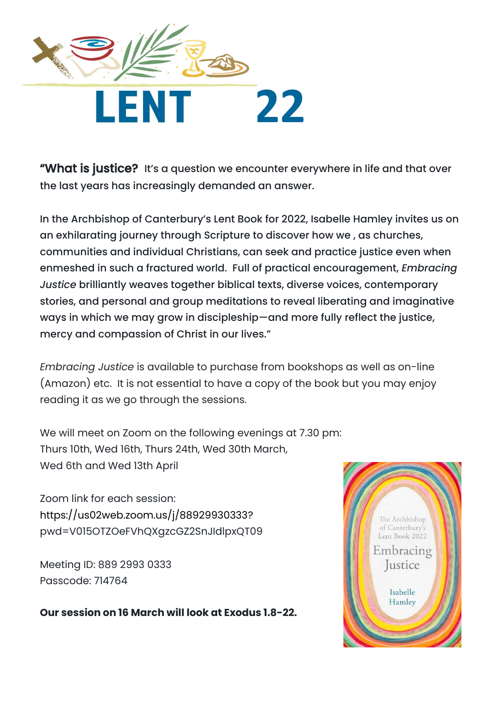

"What is justice? It's a question we encounter everywhere in life and that over the last years has increasingly demanded an answer.

In the Archbishop of Canterbury's Lent Book for 2022, Isabelle Hamley invites us on an exhilarating journey through Scripture to discover how we , as churches, communities and individual Christians, can seek and practice justice even when enmeshed in such a fractured world. Full of practical encouragement, *Embracing Justice* brilliantly weaves together biblical texts, diverse voices, contemporary stories, and personal and group meditations to reveal liberating and imaginative ways in which we may grow in discipleship—and more fully reflect the justice, mercy and compassion of Christ in our lives."

*Embracing Justice* is available to purchase from bookshops as well as on-line (Amazon) etc. It is not essential to have a copy of the book but you may enjoy reading it as we go through the sessions.

We will meet on Zoom on the following evenings at 7.30 pm: Thurs 10th, Wed 16th, Thurs 24th, Wed 30th March, Wed 6th and Wed 13th April

Zoom link for each session: [https://us02web.zoom.us/j/88929930333?](https://us02web.zoom.us/j/88929930333) pwd=V015OTZOeFVhQXgzcGZ2SnJIdlpxQT09

Meeting ID: 889 2993 0333 Passcode: 714764

**Our session on 16 March will look at Exodus 1.8-22.**